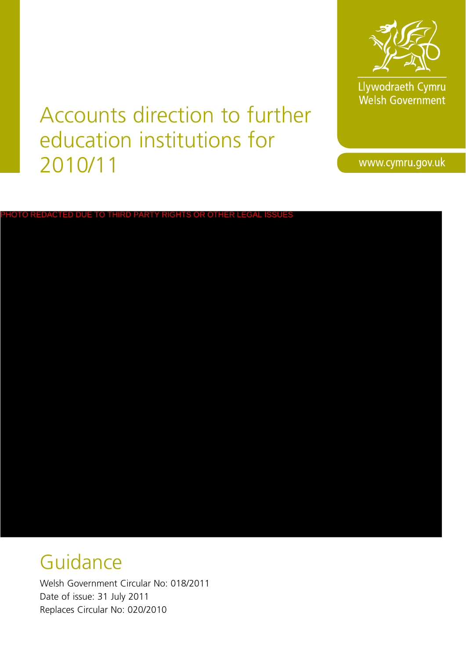

Llywodraeth Cymru<br>Welsh Government

Accounts direction to further education institutions for 2010/11

www.cymru.gov.uk

# PHOTO REDACTED DUE TO THIRD PARTY RIGHTS OR OTHER LEGAL ISSUES

# Guidance

Welsh Government Circular No: 018/2011 Date of issue: 31 July 2011 Replaces Circular No: 020/2010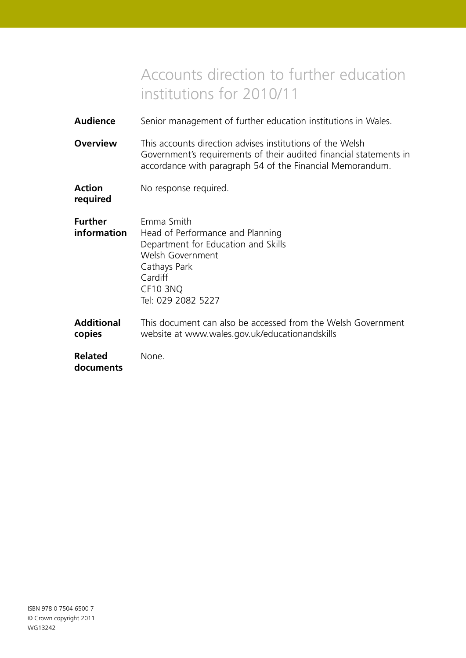# Accounts direction to further education institutions for 2010/11

- **Audience** Senior management of further education institutions in Wales.
- **Overview** This accounts direction advises institutions of the Welsh Government's requirements of their audited financial statements in accordance with paragraph 54 of the Financial Memorandum.

| <b>Action</b>            | No response required. |
|--------------------------|-----------------------|
| المالي والمتحدث والمنادر |                       |

**required**

| <b>Further</b> | Emma Smith                          |
|----------------|-------------------------------------|
| information    | Head of Performance and Planning    |
|                | Department for Education and Skills |
|                | Welsh Government                    |
|                | Cathays Park                        |
|                | Cardiff                             |
|                | CF10 3NQ                            |
|                | Tel: 029 2082 5227                  |
|                |                                     |

**Additional** This document can also be accessed from the Welsh Government **copies** website at www.wales.gov.uk/educationandskills

| <b>Related</b> | None. |
|----------------|-------|
| documents      |       |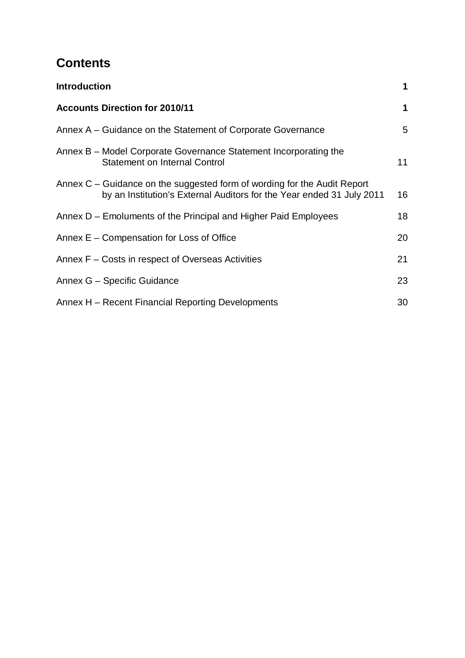# **Contents**

| <b>Introduction</b>                                                                                                                                 | 1  |
|-----------------------------------------------------------------------------------------------------------------------------------------------------|----|
| <b>Accounts Direction for 2010/11</b>                                                                                                               | 1  |
| Annex A – Guidance on the Statement of Corporate Governance                                                                                         | 5  |
| Annex B – Model Corporate Governance Statement Incorporating the<br><b>Statement on Internal Control</b>                                            | 11 |
| Annex $C$ – Guidance on the suggested form of wording for the Audit Report<br>by an Institution's External Auditors for the Year ended 31 July 2011 | 16 |
| Annex D – Emoluments of the Principal and Higher Paid Employees                                                                                     | 18 |
| Annex E – Compensation for Loss of Office                                                                                                           | 20 |
| Annex F – Costs in respect of Overseas Activities                                                                                                   | 21 |
| Annex G - Specific Guidance                                                                                                                         | 23 |
| Annex H – Recent Financial Reporting Developments                                                                                                   | 30 |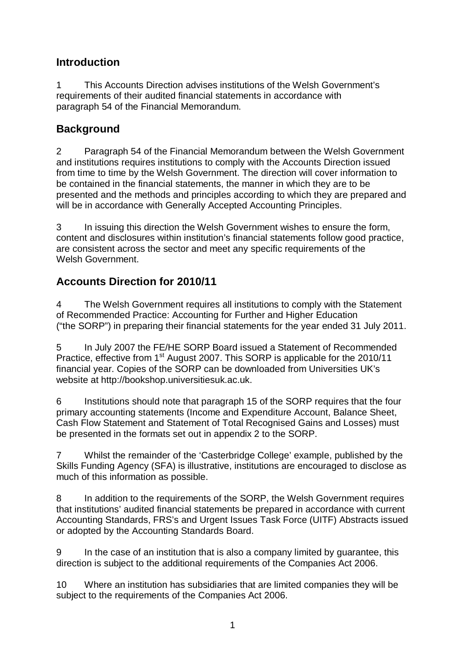#### **Introduction**

1 This Accounts Direction advises institutions of the Welsh Government's requirements of their audited financial statements in accordance with paragraph 54 of the Financial Memorandum.

#### **Background**

2 Paragraph 54 of the Financial Memorandum between the Welsh Government and institutions requires institutions to comply with the Accounts Direction issued from time to time by the Welsh Government. The direction will cover information to be contained in the financial statements, the manner in which they are to be presented and the methods and principles according to which they are prepared and will be in accordance with Generally Accepted Accounting Principles.

3 In issuing this direction the Welsh Government wishes to ensure the form, content and disclosures within institution's financial statements follow good practice, are consistent across the sector and meet any specific requirements of the Welsh Government.

## **Accounts Direction for 2010/11**

4 The Welsh Government requires all institutions to comply with the Statement of Recommended Practice: Accounting for Further and Higher Education ("the SORP") in preparing their financial statements for the year ended 31 July 2011.

5 In July 2007 the FE/HE SORP Board issued a Statement of Recommended Practice, effective from 1<sup>st</sup> August 2007. This SORP is applicable for the 2010/11 financial year. Copies of the SORP can be downloaded from Universities UK's website at [http://bookshop.universitiesuk.ac.uk](http://bookshop.universitiesuk.ac.uk/).

6 Institutions should note that paragraph 15 of the SORP requires that the four primary accounting statements (Income and Expenditure Account, Balance Sheet, Cash Flow Statement and Statement of Total Recognised Gains and Losses) must be presented in the formats set out in appendix 2 to the SORP.

7 Whilst the remainder of the 'Casterbridge College' example, published by the Skills Funding Agency (SFA) is illustrative, institutions are encouraged to disclose as much of this information as possible.

8 In addition to the requirements of the SORP, the Welsh Government requires that institutions' audited financial statements be prepared in accordance with current Accounting Standards, FRS's and Urgent Issues Task Force (UITF) Abstracts issued or adopted by the Accounting Standards Board.

9 In the case of an institution that is also a company limited by guarantee, this direction is subject to the additional requirements of the Companies Act 2006.

10 Where an institution has subsidiaries that are limited companies they will be subject to the requirements of the Companies Act 2006.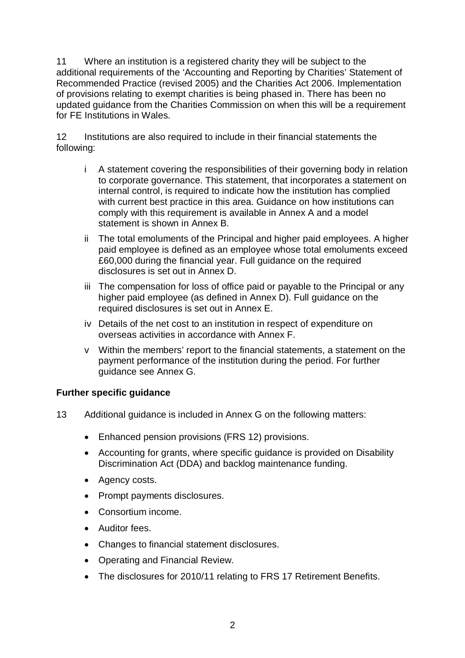11 Where an institution is a registered charity they will be subject to the additional requirements of the 'Accounting and Reporting by Charities' Statement of Recommended Practice (revised 2005) and the Charities Act 2006. Implementation of provisions relating to exempt charities is being phased in. There has been no updated guidance from the Charities Commission on when this will be a requirement for FE Institutions in Wales.

12 Institutions are also required to include in their financial statements the following:

- i A statement covering the responsibilities of their governing body in relation to corporate governance. This statement, that incorporates a statement on internal control, is required to indicate how the institution has complied with current best practice in this area. Guidance on how institutions can comply with this requirement is available in Annex A and a model statement is shown in Annex B.
- ii The total emoluments of the Principal and higher paid employees. A higher paid employee is defined as an employee whose total emoluments exceed £60,000 during the financial year. Full guidance on the required disclosures is set out in Annex D.
- iii The compensation for loss of office paid or payable to the Principal or any higher paid employee (as defined in Annex D). Full guidance on the required disclosures is set out in Annex E.
- iv Details of the net cost to an institution in respect of expenditure on overseas activities in accordance with Annex F.
- v Within the members' report to the financial statements, a statement on the payment performance of the institution during the period. For further guidance see Annex G.

#### **Further specific guidance**

- 13 Additional guidance is included in Annex G on the following matters:
	- Enhanced pension provisions (FRS 12) provisions.
	- Accounting for grants, where specific guidance is provided on Disability Discrimination Act (DDA) and backlog maintenance funding.
	- Agency costs.
	- Prompt payments disclosures.
	- Consortium income.
	- Auditor fees.
	- Changes to financial statement disclosures.
	- Operating and Financial Review.
	- The disclosures for 2010/11 relating to FRS 17 Retirement Benefits.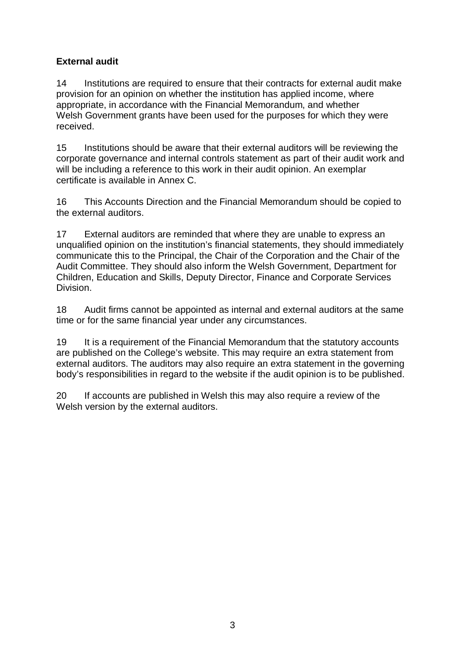#### **External audit**

14 Institutions are required to ensure that their contracts for external audit make provision for an opinion on whether the institution has applied income, where appropriate, in accordance with the Financial Memorandum, and whether Welsh Government grants have been used for the purposes for which they were received.

15 Institutions should be aware that their external auditors will be reviewing the corporate governance and internal controls statement as part of their audit work and will be including a reference to this work in their audit opinion. An exemplar certificate is available in Annex C.

16 This Accounts Direction and the Financial Memorandum should be copied to the external auditors.

17 External auditors are reminded that where they are unable to express an unqualified opinion on the institution's financial statements, they should immediately communicate this to the Principal, the Chair of the Corporation and the Chair of the Audit Committee. They should also inform the Welsh Government, Department for Children, Education and Skills, Deputy Director, Finance and Corporate Services Division.

18 Audit firms cannot be appointed as internal and external auditors at the same time or for the same financial year under any circumstances.

19 It is a requirement of the Financial Memorandum that the statutory accounts are published on the College's website. This may require an extra statement from external auditors. The auditors may also require an extra statement in the governing body's responsibilities in regard to the website if the audit opinion is to be published.

20 If accounts are published in Welsh this may also require a review of the Welsh version by the external auditors.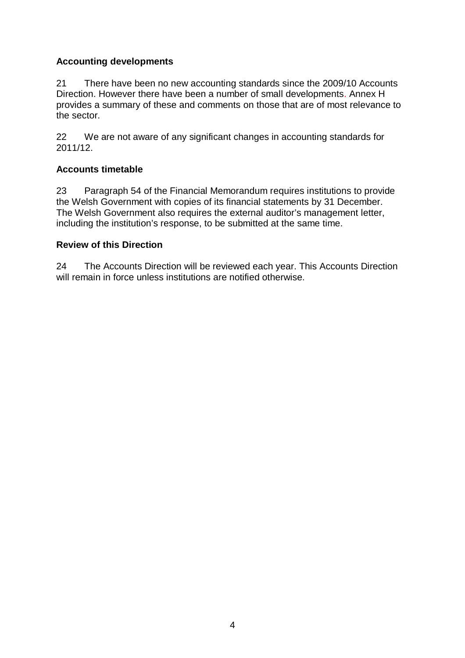#### **Accounting developments**

21 There have been no new accounting standards since the 2009/10 Accounts Direction. However there have been a number of small developments. Annex H provides a summary of these and comments on those that are of most relevance to the sector.

22 We are not aware of any significant changes in accounting standards for 2011/12.

#### **Accounts timetable**

23 Paragraph 54 of the Financial Memorandum requires institutions to provide the Welsh Government with copies of its financial statements by 31 December. The Welsh Government also requires the external auditor's management letter, including the institution's response, to be submitted at the same time.

#### **Review of this Direction**

24 The Accounts Direction will be reviewed each year. This Accounts Direction will remain in force unless institutions are notified otherwise.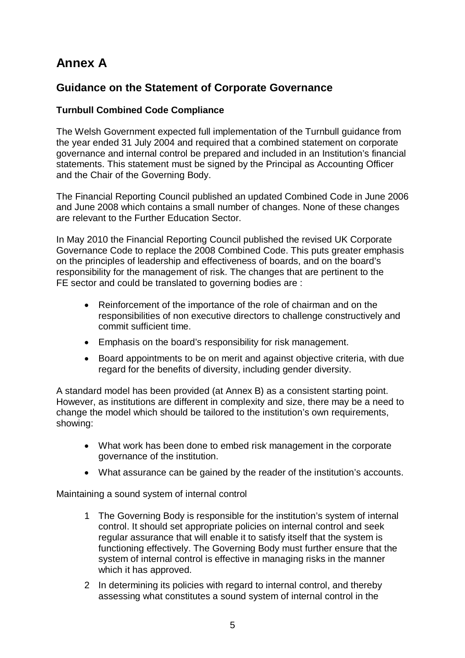# **Annex A**

#### **Guidance on the Statement of Corporate Governance**

#### **Turnbull Combined Code Compliance**

The Welsh Government expected full implementation of the Turnbull guidance from the year ended 31 July 2004 and required that a combined statement on corporate governance and internal control be prepared and included in an Institution's financial statements. This statement must be signed by the Principal as Accounting Officer and the Chair of the Governing Body.

The Financial Reporting Council published an updated Combined Code in June 2006 and June 2008 which contains a small number of changes. None of these changes are relevant to the Further Education Sector.

In May 2010 the Financial Reporting Council published the revised UK Corporate Governance Code to replace the 2008 Combined Code. This puts greater emphasis on the principles of leadership and effectiveness of boards, and on the board's responsibility for the management of risk. The changes that are pertinent to the FE sector and could be translated to governing bodies are :

- Reinforcement of the importance of the role of chairman and on the responsibilities of non executive directors to challenge constructively and commit sufficient time.
- Emphasis on the board's responsibility for risk management.
- Board appointments to be on merit and against objective criteria, with due regard for the benefits of diversity, including gender diversity.

A standard model has been provided (at Annex B) as a consistent starting point. However, as institutions are different in complexity and size, there may be a need to change the model which should be tailored to the institution's own requirements, showing:

- What work has been done to embed risk management in the corporate governance of the institution.
- What assurance can be gained by the reader of the institution's accounts.

Maintaining a sound system of internal control

- 1 The Governing Body is responsible for the institution's system of internal control. It should set appropriate policies on internal control and seek regular assurance that will enable it to satisfy itself that the system is functioning effectively. The Governing Body must further ensure that the system of internal control is effective in managing risks in the manner which it has approved.
- 2 In determining its policies with regard to internal control, and thereby assessing what constitutes a sound system of internal control in the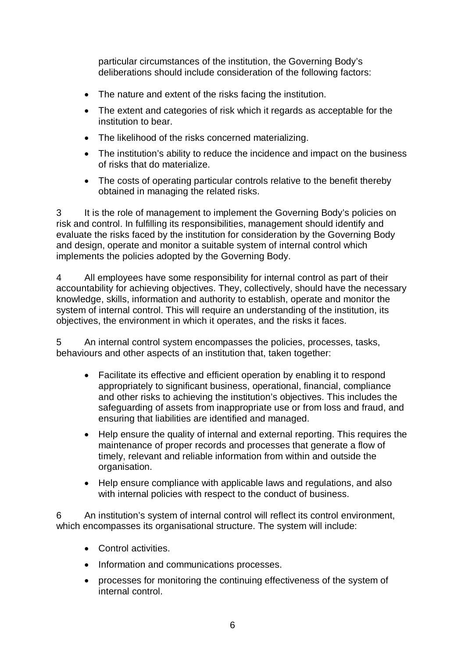particular circumstances of the institution, the Governing Body's deliberations should include consideration of the following factors:

- The nature and extent of the risks facing the institution.
- The extent and categories of risk which it regards as acceptable for the institution to bear.
- The likelihood of the risks concerned materializing.
- The institution's ability to reduce the incidence and impact on the business of risks that do materialize.
- The costs of operating particular controls relative to the benefit thereby obtained in managing the related risks.

3 It is the role of management to implement the Governing Body's policies on risk and control. In fulfilling its responsibilities, management should identify and evaluate the risks faced by the institution for consideration by the Governing Body and design, operate and monitor a suitable system of internal control which implements the policies adopted by the Governing Body.

4 All employees have some responsibility for internal control as part of their accountability for achieving objectives. They, collectively, should have the necessary knowledge, skills, information and authority to establish, operate and monitor the system of internal control. This will require an understanding of the institution, its objectives, the environment in which it operates, and the risks it faces.

5 An internal control system encompasses the policies, processes, tasks, behaviours and other aspects of an institution that, taken together:

- Facilitate its effective and efficient operation by enabling it to respond appropriately to significant business, operational, financial, compliance and other risks to achieving the institution's objectives. This includes the safeguarding of assets from inappropriate use or from loss and fraud, and ensuring that liabilities are identified and managed.
- Help ensure the quality of internal and external reporting. This requires the maintenance of proper records and processes that generate a flow of timely, relevant and reliable information from within and outside the organisation.
- Help ensure compliance with applicable laws and regulations, and also with internal policies with respect to the conduct of business.

6 An institution's system of internal control will reflect its control environment, which encompasses its organisational structure. The system will include:

- Control activities.
- Information and communications processes.
- processes for monitoring the continuing effectiveness of the system of internal control.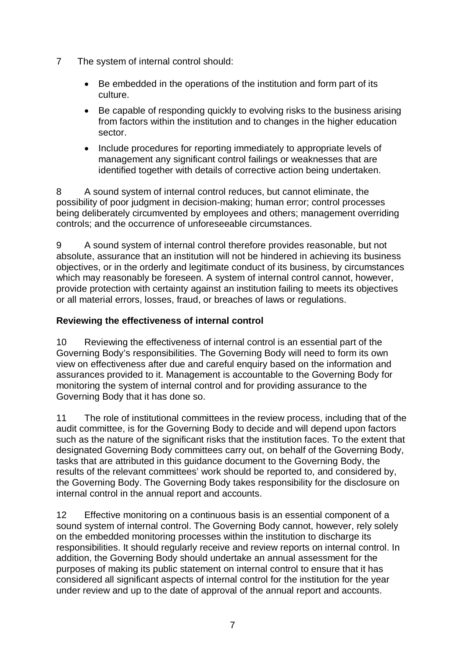- 7 The system of internal control should:
	- Be embedded in the operations of the institution and form part of its culture.
	- Be capable of responding quickly to evolving risks to the business arising from factors within the institution and to changes in the higher education sector.
	- Include procedures for reporting immediately to appropriate levels of management any significant control failings or weaknesses that are identified together with details of corrective action being undertaken.

8 A sound system of internal control reduces, but cannot eliminate, the possibility of poor judgment in decision-making; human error; control processes being deliberately circumvented by employees and others; management overriding controls; and the occurrence of unforeseeable circumstances.

9 A sound system of internal control therefore provides reasonable, but not absolute, assurance that an institution will not be hindered in achieving its business objectives, or in the orderly and legitimate conduct of its business, by circumstances which may reasonably be foreseen. A system of internal control cannot, however, provide protection with certainty against an institution failing to meets its objectives or all material errors, losses, fraud, or breaches of laws or regulations.

#### **Reviewing the effectiveness of internal control**

10 Reviewing the effectiveness of internal control is an essential part of the Governing Body's responsibilities. The Governing Body will need to form its own view on effectiveness after due and careful enquiry based on the information and assurances provided to it. Management is accountable to the Governing Body for monitoring the system of internal control and for providing assurance to the Governing Body that it has done so.

11 The role of institutional committees in the review process, including that of the audit committee, is for the Governing Body to decide and will depend upon factors such as the nature of the significant risks that the institution faces. To the extent that designated Governing Body committees carry out, on behalf of the Governing Body, tasks that are attributed in this guidance document to the Governing Body, the results of the relevant committees' work should be reported to, and considered by, the Governing Body. The Governing Body takes responsibility for the disclosure on internal control in the annual report and accounts.

12 Effective monitoring on a continuous basis is an essential component of a sound system of internal control. The Governing Body cannot, however, rely solely on the embedded monitoring processes within the institution to discharge its responsibilities. It should regularly receive and review reports on internal control. In addition, the Governing Body should undertake an annual assessment for the purposes of making its public statement on internal control to ensure that it has considered all significant aspects of internal control for the institution for the year under review and up to the date of approval of the annual report and accounts.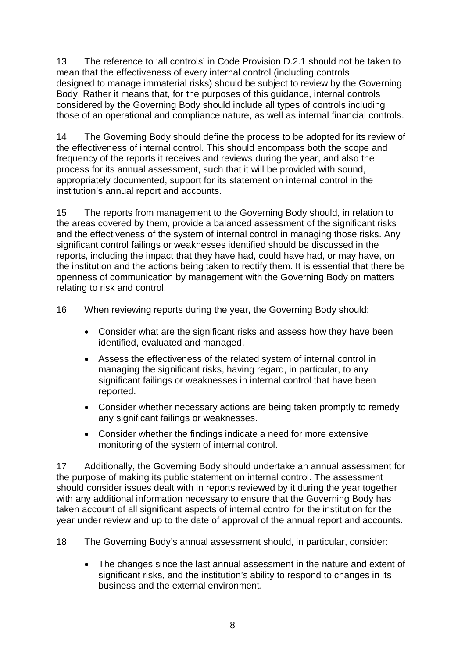13 The reference to 'all controls' in Code Provision D.2.1 should not be taken to mean that the effectiveness of every internal control (including controls designed to manage immaterial risks) should be subject to review by the Governing Body. Rather it means that, for the purposes of this guidance, internal controls considered by the Governing Body should include all types of controls including those of an operational and compliance nature, as well as internal financial controls.

14 The Governing Body should define the process to be adopted for its review of the effectiveness of internal control. This should encompass both the scope and frequency of the reports it receives and reviews during the year, and also the process for its annual assessment, such that it will be provided with sound, appropriately documented, support for its statement on internal control in the institution's annual report and accounts.

15 The reports from management to the Governing Body should, in relation to the areas covered by them, provide a balanced assessment of the significant risks and the effectiveness of the system of internal control in managing those risks. Any significant control failings or weaknesses identified should be discussed in the reports, including the impact that they have had, could have had, or may have, on the institution and the actions being taken to rectify them. It is essential that there be openness of communication by management with the Governing Body on matters relating to risk and control.

16 When reviewing reports during the year, the Governing Body should:

- Consider what are the significant risks and assess how they have been identified, evaluated and managed.
- Assess the effectiveness of the related system of internal control in managing the significant risks, having regard, in particular, to any significant failings or weaknesses in internal control that have been reported.
- Consider whether necessary actions are being taken promptly to remedy any significant failings or weaknesses.
- Consider whether the findings indicate a need for more extensive monitoring of the system of internal control.

17 Additionally, the Governing Body should undertake an annual assessment for the purpose of making its public statement on internal control. The assessment should consider issues dealt with in reports reviewed by it during the year together with any additional information necessary to ensure that the Governing Body has taken account of all significant aspects of internal control for the institution for the year under review and up to the date of approval of the annual report and accounts.

18 The Governing Body's annual assessment should, in particular, consider:

• The changes since the last annual assessment in the nature and extent of significant risks, and the institution's ability to respond to changes in its business and the external environment.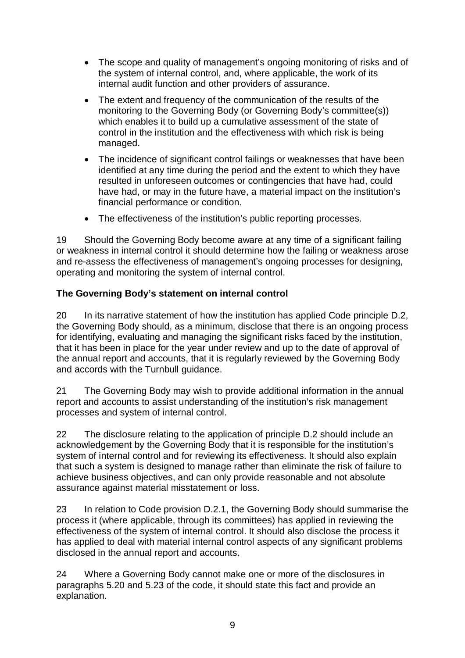- The scope and quality of management's ongoing monitoring of risks and of the system of internal control, and, where applicable, the work of its internal audit function and other providers of assurance.
- The extent and frequency of the communication of the results of the monitoring to the Governing Body (or Governing Body's committee(s)) which enables it to build up a cumulative assessment of the state of control in the institution and the effectiveness with which risk is being managed.
- The incidence of significant control failings or weaknesses that have been identified at any time during the period and the extent to which they have resulted in unforeseen outcomes or contingencies that have had, could have had, or may in the future have, a material impact on the institution's financial performance or condition.
- The effectiveness of the institution's public reporting processes.

19 Should the Governing Body become aware at any time of a significant failing or weakness in internal control it should determine how the failing or weakness arose and re-assess the effectiveness of management's ongoing processes for designing, operating and monitoring the system of internal control.

#### **The Governing Body's statement on internal control**

20 In its narrative statement of how the institution has applied Code principle D.2, the Governing Body should, as a minimum, disclose that there is an ongoing process for identifying, evaluating and managing the significant risks faced by the institution, that it has been in place for the year under review and up to the date of approval of the annual report and accounts, that it is regularly reviewed by the Governing Body and accords with the Turnbull guidance.

21 The Governing Body may wish to provide additional information in the annual report and accounts to assist understanding of the institution's risk management processes and system of internal control.

22 The disclosure relating to the application of principle D.2 should include an acknowledgement by the Governing Body that it is responsible for the institution's system of internal control and for reviewing its effectiveness. It should also explain that such a system is designed to manage rather than eliminate the risk of failure to achieve business objectives, and can only provide reasonable and not absolute assurance against material misstatement or loss.

23 In relation to Code provision D.2.1, the Governing Body should summarise the process it (where applicable, through its committees) has applied in reviewing the effectiveness of the system of internal control. It should also disclose the process it has applied to deal with material internal control aspects of any significant problems disclosed in the annual report and accounts.

24 Where a Governing Body cannot make one or more of the disclosures in paragraphs 5.20 and 5.23 of the code, it should state this fact and provide an explanation.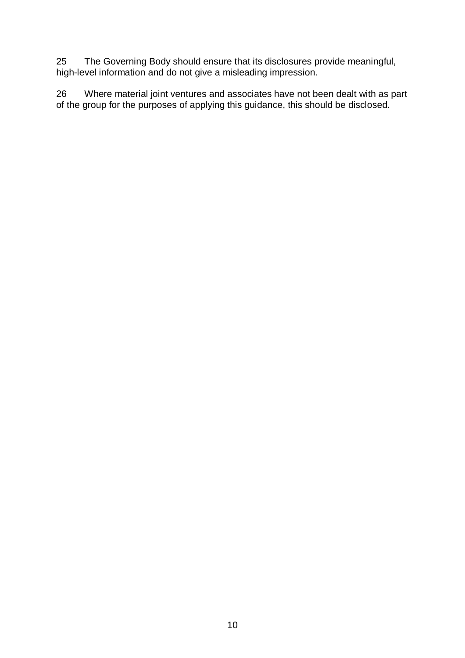25 The Governing Body should ensure that its disclosures provide meaningful, high-level information and do not give a misleading impression.

26 Where material joint ventures and associates have not been dealt with as part of the group for the purposes of applying this guidance, this should be disclosed.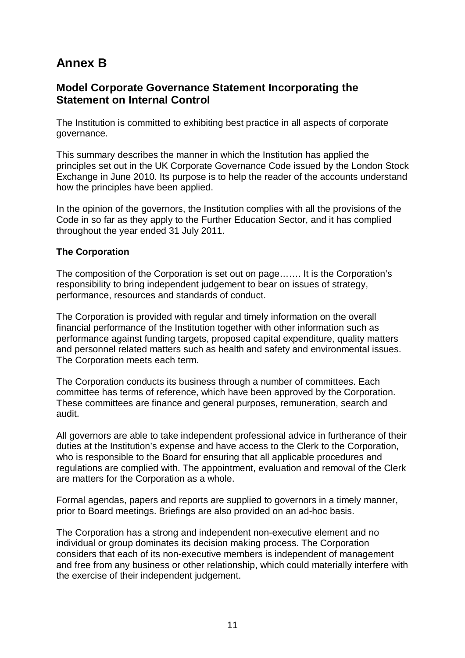# **Annex B**

#### **Model Corporate Governance Statement Incorporating the Statement on Internal Control**

The Institution is committed to exhibiting best practice in all aspects of corporate governance.

This summary describes the manner in which the Institution has applied the principles set out in the UK Corporate Governance Code issued by the London Stock Exchange in June 2010. Its purpose is to help the reader of the accounts understand how the principles have been applied.

In the opinion of the governors, the Institution complies with all the provisions of the Code in so far as they apply to the Further Education Sector, and it has complied throughout the year ended 31 July 2011.

#### **The Corporation**

The composition of the Corporation is set out on page……. It is the Corporation's responsibility to bring independent judgement to bear on issues of strategy, performance, resources and standards of conduct.

The Corporation is provided with regular and timely information on the overall financial performance of the Institution together with other information such as performance against funding targets, proposed capital expenditure, quality matters and personnel related matters such as health and safety and environmental issues. The Corporation meets each term.

The Corporation conducts its business through a number of committees. Each committee has terms of reference, which have been approved by the Corporation. These committees are finance and general purposes, remuneration, search and audit.

All governors are able to take independent professional advice in furtherance of their duties at the Institution's expense and have access to the Clerk to the Corporation, who is responsible to the Board for ensuring that all applicable procedures and regulations are complied with. The appointment, evaluation and removal of the Clerk are matters for the Corporation as a whole.

Formal agendas, papers and reports are supplied to governors in a timely manner, prior to Board meetings. Briefings are also provided on an ad-hoc basis.

The Corporation has a strong and independent non-executive element and no individual or group dominates its decision making process. The Corporation considers that each of its non-executive members is independent of management and free from any business or other relationship, which could materially interfere with the exercise of their independent judgement.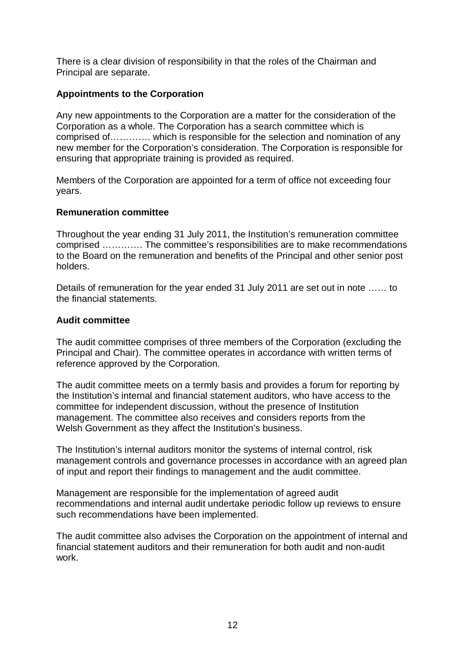There is a clear division of responsibility in that the roles of the Chairman and Principal are separate.

#### **Appointments to the Corporation**

Any new appointments to the Corporation are a matter for the consideration of the Corporation as a whole. The Corporation has a search committee which is comprised of…………. which is responsible for the selection and nomination of any new member for the Corporation's consideration. The Corporation is responsible for ensuring that appropriate training is provided as required.

Members of the Corporation are appointed for a term of office not exceeding four years.

#### **Remuneration committee**

Throughout the year ending 31 July 2011, the Institution's remuneration committee comprised …………. The committee's responsibilities are to make recommendations to the Board on the remuneration and benefits of the Principal and other senior post holders.

Details of remuneration for the year ended 31 July 2011 are set out in note …… to the financial statements.

#### **Audit committee**

The audit committee comprises of three members of the Corporation (excluding the Principal and Chair). The committee operates in accordance with written terms of reference approved by the Corporation.

The audit committee meets on a termly basis and provides a forum for reporting by the Institution's internal and financial statement auditors, who have access to the committee for independent discussion, without the presence of Institution management. The committee also receives and considers reports from the Welsh Government as they affect the Institution's business.

The Institution's internal auditors monitor the systems of internal control, risk management controls and governance processes in accordance with an agreed plan of input and report their findings to management and the audit committee.

Management are responsible for the implementation of agreed audit recommendations and internal audit undertake periodic follow up reviews to ensure such recommendations have been implemented.

The audit committee also advises the Corporation on the appointment of internal and financial statement auditors and their remuneration for both audit and non-audit work.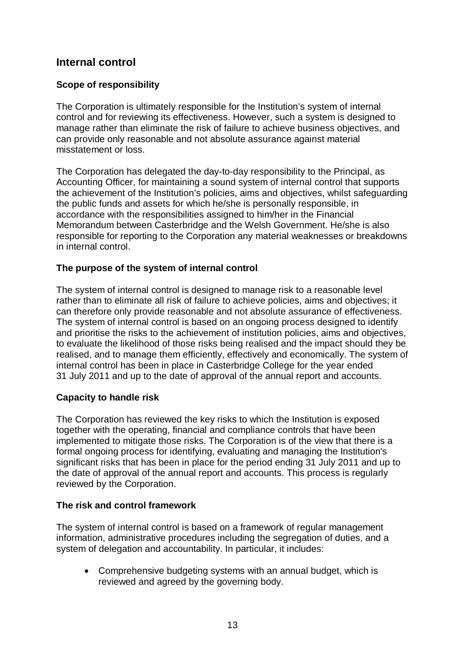#### **Internal control**

#### **Scope of responsibility**

The Corporation is ultimately responsible for the Institution's system of internal control and for reviewing its effectiveness. However, such a system is designed to manage rather than eliminate the risk of failure to achieve business objectives, and can provide only reasonable and not absolute assurance against material misstatement or loss.

The Corporation has delegated the day-to-day responsibility to the Principal, as Accounting Officer, for maintaining a sound system of internal control that supports the achievement of the Institution's policies, aims and objectives, whilst safeguarding the public funds and assets for which he/she is personally responsible, in accordance with the responsibilities assigned to him/her in the Financial Memorandum between Casterbridge and the Welsh Government. He/she is also responsible for reporting to the Corporation any material weaknesses or breakdowns in internal control.

#### **The purpose of the system of internal control**

The system of internal control is designed to manage risk to a reasonable level rather than to eliminate all risk of failure to achieve policies, aims and objectives; it can therefore only provide reasonable and not absolute assurance of effectiveness. The system of internal control is based on an ongoing process designed to identify and prioritise the risks to the achievement of institution policies, aims and objectives, to evaluate the likelihood of those risks being realised and the impact should they be realised, and to manage them efficiently, effectively and economically. The system of internal control has been in place in Casterbridge College for the year ended 31 July 2011 and up to the date of approval of the annual report and accounts.

#### **Capacity to handle risk**

The Corporation has reviewed the key risks to which the Institution is exposed together with the operating, financial and compliance controls that have been implemented to mitigate those risks. The Corporation is of the view that there is a formal ongoing process for identifying, evaluating and managing the Institution's significant risks that has been in place for the period ending 31 July 2011 and up to the date of approval of the annual report and accounts. This process is regularly reviewed by the Corporation.

#### **The risk and control framework**

The system of internal control is based on a framework of regular management information, administrative procedures including the segregation of duties, and a system of delegation and accountability. In particular, it includes:

• Comprehensive budgeting systems with an annual budget, which is reviewed and agreed by the governing body.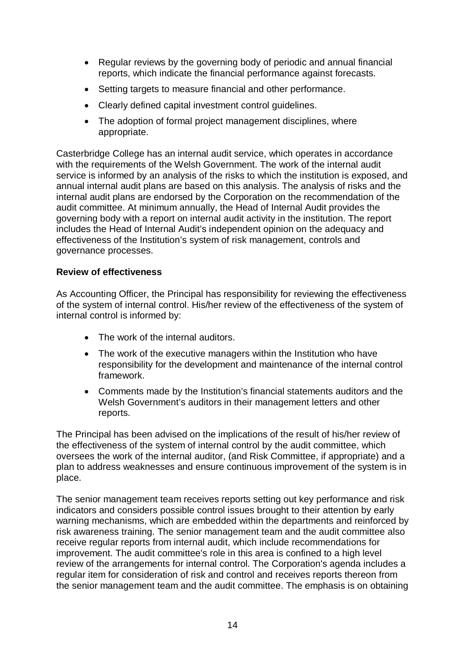- Regular reviews by the governing body of periodic and annual financial reports, which indicate the financial performance against forecasts.
- Setting targets to measure financial and other performance.
- Clearly defined capital investment control guidelines.
- The adoption of formal project management disciplines, where appropriate.

Casterbridge College has an internal audit service, which operates in accordance with the requirements of the Welsh Government. The work of the internal audit service is informed by an analysis of the risks to which the institution is exposed, and annual internal audit plans are based on this analysis. The analysis of risks and the internal audit plans are endorsed by the Corporation on the recommendation of the audit committee. At minimum annually, the Head of Internal Audit provides the governing body with a report on internal audit activity in the institution. The report includes the Head of Internal Audit's independent opinion on the adequacy and effectiveness of the Institution's system of risk management, controls and governance processes.

#### **Review of effectiveness**

As Accounting Officer, the Principal has responsibility for reviewing the effectiveness of the system of internal control. His/her review of the effectiveness of the system of internal control is informed by:

- The work of the internal auditors.
- The work of the executive managers within the Institution who have responsibility for the development and maintenance of the internal control framework.
- Comments made by the Institution's financial statements auditors and the Welsh Government's auditors in their management letters and other reports.

The Principal has been advised on the implications of the result of his/her review of the effectiveness of the system of internal control by the audit committee, which oversees the work of the internal auditor, (and Risk Committee, if appropriate) and a plan to address weaknesses and ensure continuous improvement of the system is in place.

The senior management team receives reports setting out key performance and risk indicators and considers possible control issues brought to their attention by early warning mechanisms, which are embedded within the departments and reinforced by risk awareness training. The senior management team and the audit committee also receive regular reports from internal audit, which include recommendations for improvement. The audit committee's role in this area is confined to a high level review of the arrangements for internal control. The Corporation's agenda includes a regular item for consideration of risk and control and receives reports thereon from the senior management team and the audit committee. The emphasis is on obtaining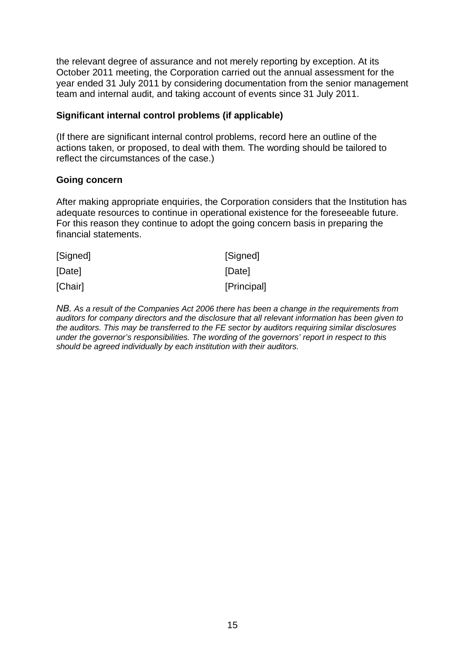the relevant degree of assurance and not merely reporting by exception. At its October 2011 meeting, the Corporation carried out the annual assessment for the year ended 31 July 2011 by considering documentation from the senior management team and internal audit, and taking account of events since 31 July 2011.

#### **Significant internal control problems (if applicable)**

(If there are significant internal control problems, record here an outline of the actions taken, or proposed, to deal with them. The wording should be tailored to reflect the circumstances of the case.)

#### **Going concern**

After making appropriate enquiries, the Corporation considers that the Institution has adequate resources to continue in operational existence for the foreseeable future. For this reason they continue to adopt the going concern basis in preparing the financial statements.

| [Signed] | [Signed]    |
|----------|-------------|
| [Date]   | [Date]      |
| [Chair]  | [Principal] |

*NB. As a result of the Companies Act 2006 there has been a change in the requirements from auditors for company directors and the disclosure that all relevant information has been given to the auditors. This may be transferred to the FE sector by auditors requiring similar disclosures under the governor's responsibilities. The wording of the governors' report in respect to this should be agreed individually by each institution with their auditors.*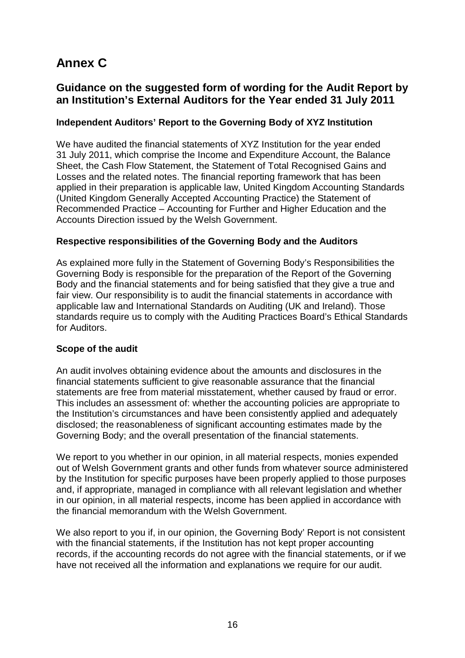# **Annex C**

#### **Guidance on the suggested form of wording for the Audit Report by an Institution's External Auditors for the Year ended 31 July 2011**

#### **Independent Auditors' Report to the Governing Body of XYZ Institution**

We have audited the financial statements of XYZ Institution for the year ended 31 July 2011, which comprise the Income and Expenditure Account, the Balance Sheet, the Cash Flow Statement, the Statement of Total Recognised Gains and Losses and the related notes. The financial reporting framework that has been applied in their preparation is applicable law, United Kingdom Accounting Standards (United Kingdom Generally Accepted Accounting Practice) the Statement of Recommended Practice – Accounting for Further and Higher Education and the Accounts Direction issued by the Welsh Government.

#### **Respective responsibilities of the Governing Body and the Auditors**

As explained more fully in the Statement of Governing Body's Responsibilities the Governing Body is responsible for the preparation of the Report of the Governing Body and the financial statements and for being satisfied that they give a true and fair view. Our responsibility is to audit the financial statements in accordance with applicable law and International Standards on Auditing (UK and Ireland). Those standards require us to comply with the Auditing Practices Board's Ethical Standards for Auditors.

#### **Scope of the audit**

An audit involves obtaining evidence about the amounts and disclosures in the financial statements sufficient to give reasonable assurance that the financial statements are free from material misstatement, whether caused by fraud or error. This includes an assessment of: whether the accounting policies are appropriate to the Institution's circumstances and have been consistently applied and adequately disclosed; the reasonableness of significant accounting estimates made by the Governing Body; and the overall presentation of the financial statements.

We report to you whether in our opinion, in all material respects, monies expended out of Welsh Government grants and other funds from whatever source administered by the Institution for specific purposes have been properly applied to those purposes and, if appropriate, managed in compliance with all relevant legislation and whether in our opinion, in all material respects, income has been applied in accordance with the financial memorandum with the Welsh Government.

We also report to you if, in our opinion, the Governing Body' Report is not consistent with the financial statements, if the Institution has not kept proper accounting records, if the accounting records do not agree with the financial statements, or if we have not received all the information and explanations we require for our audit.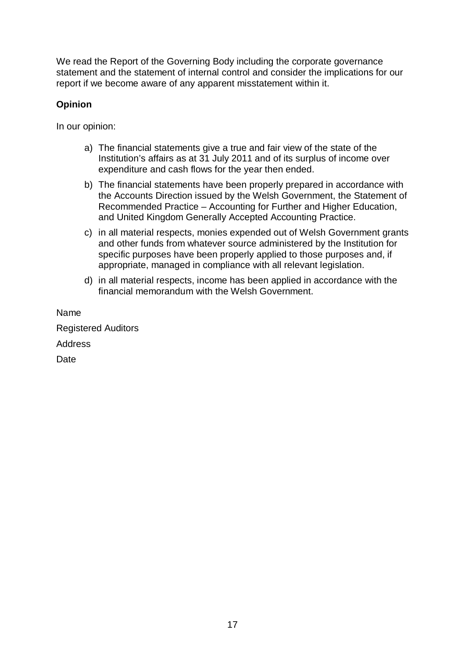We read the Report of the Governing Body including the corporate governance statement and the statement of internal control and consider the implications for our report if we become aware of any apparent misstatement within it.

#### **Opinion**

In our opinion:

- a) The financial statements give a true and fair view of the state of the Institution's affairs as at 31 July 2011 and of its surplus of income over expenditure and cash flows for the year then ended.
- b) The financial statements have been properly prepared in accordance with the Accounts Direction issued by the Welsh Government, the Statement of Recommended Practice – Accounting for Further and Higher Education, and United Kingdom Generally Accepted Accounting Practice.
- c) in all material respects, monies expended out of Welsh Government grants and other funds from whatever source administered by the Institution for specific purposes have been properly applied to those purposes and, if appropriate, managed in compliance with all relevant legislation.
- d) in all material respects, income has been applied in accordance with the financial memorandum with the Welsh Government.

Name

Registered Auditors **Address** 

Date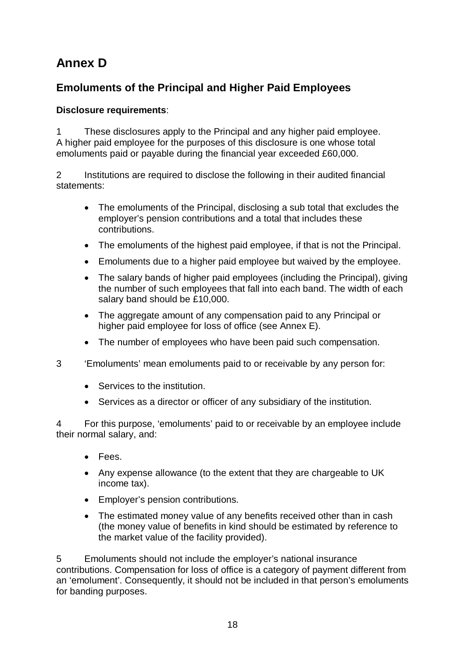# **Annex D**

# **Emoluments of the Principal and Higher Paid Employees**

#### **Disclosure requirements**:

1 These disclosures apply to the Principal and any higher paid employee. A higher paid employee for the purposes of this disclosure is one whose total emoluments paid or payable during the financial year exceeded £60,000.

2 Institutions are required to disclose the following in their audited financial statements:

- The emoluments of the Principal, disclosing a sub total that excludes the employer's pension contributions and a total that includes these contributions.
- The emoluments of the highest paid employee, if that is not the Principal.
- Emoluments due to a higher paid employee but waived by the employee.
- The salary bands of higher paid employees (including the Principal), giving the number of such employees that fall into each band. The width of each salary band should be £10,000.
- The aggregate amount of any compensation paid to any Principal or higher paid employee for loss of office (see Annex E).
- The number of employees who have been paid such compensation.
- 3 'Emoluments' mean emoluments paid to or receivable by any person for:
	- Services to the institution.
	- Services as a director or officer of any subsidiary of the institution.

4 For this purpose, 'emoluments' paid to or receivable by an employee include their normal salary, and:

- Fees.
- Any expense allowance (to the extent that they are chargeable to UK income tax).
- Employer's pension contributions.
- The estimated money value of any benefits received other than in cash (the money value of benefits in kind should be estimated by reference to the market value of the facility provided).

5 Emoluments should not include the employer's national insurance contributions. Compensation for loss of office is a category of payment different from an 'emolument'. Consequently, it should not be included in that person's emoluments for banding purposes.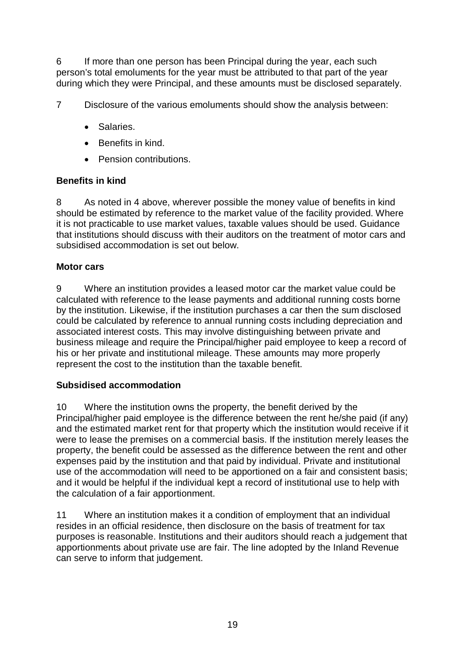6 If more than one person has been Principal during the year, each such person's total emoluments for the year must be attributed to that part of the year during which they were Principal, and these amounts must be disclosed separately.

7 Disclosure of the various emoluments should show the analysis between:

- Salaries.
- Benefits in kind.
- Pension contributions.

#### **Benefits in kind**

8 As noted in 4 above, wherever possible the money value of benefits in kind should be estimated by reference to the market value of the facility provided. Where it is not practicable to use market values, taxable values should be used. Guidance that institutions should discuss with their auditors on the treatment of motor cars and subsidised accommodation is set out below.

#### **Motor cars**

9 Where an institution provides a leased motor car the market value could be calculated with reference to the lease payments and additional running costs borne by the institution. Likewise, if the institution purchases a car then the sum disclosed could be calculated by reference to annual running costs including depreciation and associated interest costs. This may involve distinguishing between private and business mileage and require the Principal/higher paid employee to keep a record of his or her private and institutional mileage. These amounts may more properly represent the cost to the institution than the taxable benefit.

#### **Subsidised accommodation**

10 Where the institution owns the property, the benefit derived by the Principal/higher paid employee is the difference between the rent he/she paid (if any) and the estimated market rent for that property which the institution would receive if it were to lease the premises on a commercial basis. If the institution merely leases the property, the benefit could be assessed as the difference between the rent and other expenses paid by the institution and that paid by individual. Private and institutional use of the accommodation will need to be apportioned on a fair and consistent basis; and it would be helpful if the individual kept a record of institutional use to help with the calculation of a fair apportionment.

11 Where an institution makes it a condition of employment that an individual resides in an official residence, then disclosure on the basis of treatment for tax purposes is reasonable. Institutions and their auditors should reach a judgement that apportionments about private use are fair. The line adopted by the Inland Revenue can serve to inform that judgement.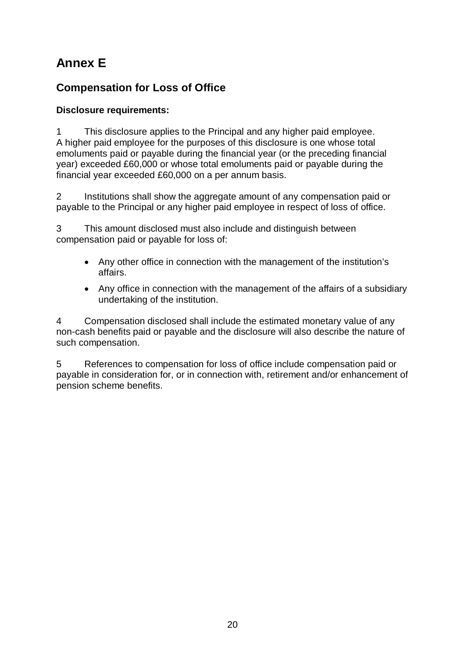# **Annex E**

## **Compensation for Loss of Office**

#### **Disclosure requirements:**

1 This disclosure applies to the Principal and any higher paid employee. A higher paid employee for the purposes of this disclosure is one whose total emoluments paid or payable during the financial year (or the preceding financial year) exceeded £60,000 or whose total emoluments paid or payable during the financial year exceeded £60,000 on a per annum basis.

2 Institutions shall show the aggregate amount of any compensation paid or payable to the Principal or any higher paid employee in respect of loss of office.

3 This amount disclosed must also include and distinguish between compensation paid or payable for loss of:

- Any other office in connection with the management of the institution's affairs.
- Any office in connection with the management of the affairs of a subsidiary undertaking of the institution.

4 Compensation disclosed shall include the estimated monetary value of any non-cash benefits paid or payable and the disclosure will also describe the nature of such compensation.

5 References to compensation for loss of office include compensation paid or payable in consideration for, or in connection with, retirement and/or enhancement of pension scheme benefits.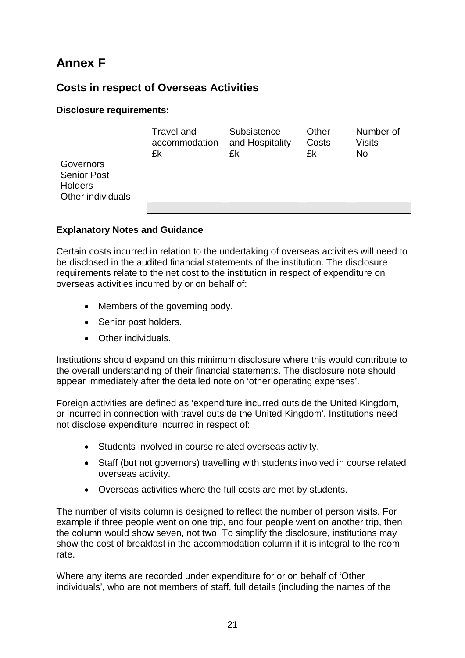# **Annex F**

#### **Costs in respect of Overseas Activities**

#### **Disclosure requirements:**

|                                                                        | Travel and<br>accommodation<br>£k | Subsistence<br>and Hospitality<br>£k | Other<br>Costs<br>£k | Number of<br>Visits<br><b>No</b> |
|------------------------------------------------------------------------|-----------------------------------|--------------------------------------|----------------------|----------------------------------|
| Governors<br><b>Senior Post</b><br><b>Holders</b><br>Other individuals |                                   |                                      |                      |                                  |
|                                                                        |                                   |                                      |                      |                                  |

#### **Explanatory Notes and Guidance**

Certain costs incurred in relation to the undertaking of overseas activities will need to be disclosed in the audited financial statements of the institution. The disclosure requirements relate to the net cost to the institution in respect of expenditure on overseas activities incurred by or on behalf of:

- Members of the governing body.
- Senior post holders.
- Other individuals.

Institutions should expand on this minimum disclosure where this would contribute to the overall understanding of their financial statements. The disclosure note should appear immediately after the detailed note on 'other operating expenses'.

Foreign activities are defined as 'expenditure incurred outside the United Kingdom, or incurred in connection with travel outside the United Kingdom'. Institutions need not disclose expenditure incurred in respect of:

- Students involved in course related overseas activity.
- Staff (but not governors) travelling with students involved in course related overseas activity.
- Overseas activities where the full costs are met by students.

The number of visits column is designed to reflect the number of person visits. For example if three people went on one trip, and four people went on another trip, then the column would show seven, not two. To simplify the disclosure, institutions may show the cost of breakfast in the accommodation column if it is integral to the room rate.

Where any items are recorded under expenditure for or on behalf of 'Other individuals', who are not members of staff, full details (including the names of the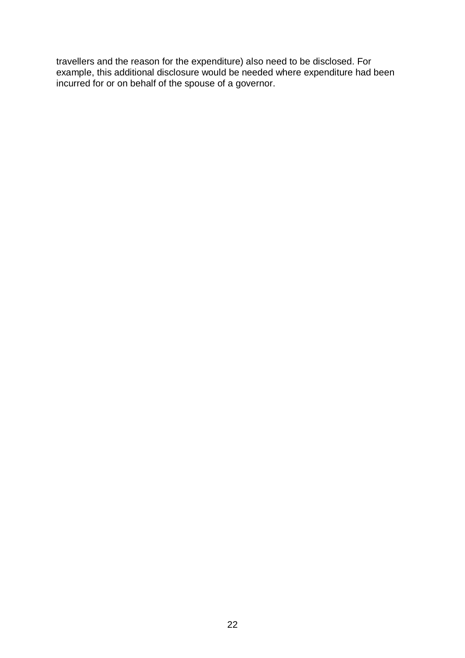travellers and the reason for the expenditure) also need to be disclosed. For example, this additional disclosure would be needed where expenditure had been incurred for or on behalf of the spouse of a governor.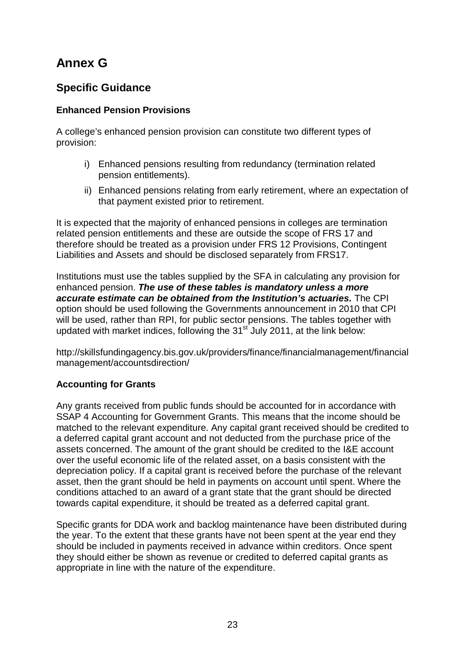# **Annex G**

## **Specific Guidance**

#### **Enhanced Pension Provisions**

A college's enhanced pension provision can constitute two different types of provision:

- i) Enhanced pensions resulting from redundancy (termination related pension entitlements).
- ii) Enhanced pensions relating from early retirement, where an expectation of that payment existed prior to retirement.

It is expected that the majority of enhanced pensions in colleges are termination related pension entitlements and these are outside the scope of FRS 17 and therefore should be treated as a provision under FRS 12 Provisions, Contingent Liabilities and Assets and should be disclosed separately from FRS17.

Institutions must use the tables supplied by the SFA in calculating any provision for enhanced pension. *The use of these tables is mandatory unless a more accurate estimate can be obtained from the Institution's actuaries.* The CPI option should be used following the Governments announcement in 2010 that CPI will be used, rather than RPI, for public sector pensions. The tables together with updated with market indices, following the  $31<sup>st</sup>$  July 2011, at the link below:

http://skillsfundingagency.bis.gov.uk/providers/finance/financialmanagement/financial management/accountsdirection/

#### **Accounting for Grants**

Any grants received from public funds should be accounted for in accordance with SSAP 4 Accounting for Government Grants. This means that the income should be matched to the relevant expenditure. Any capital grant received should be credited to a deferred capital grant account and not deducted from the purchase price of the assets concerned. The amount of the grant should be credited to the I&E account over the useful economic life of the related asset, on a basis consistent with the depreciation policy. If a capital grant is received before the purchase of the relevant asset, then the grant should be held in payments on account until spent. Where the conditions attached to an award of a grant state that the grant should be directed towards capital expenditure, it should be treated as a deferred capital grant.

Specific grants for DDA work and backlog maintenance have been distributed during the year. To the extent that these grants have not been spent at the year end they should be included in payments received in advance within creditors. Once spent they should either be shown as revenue or credited to deferred capital grants as appropriate in line with the nature of the expenditure.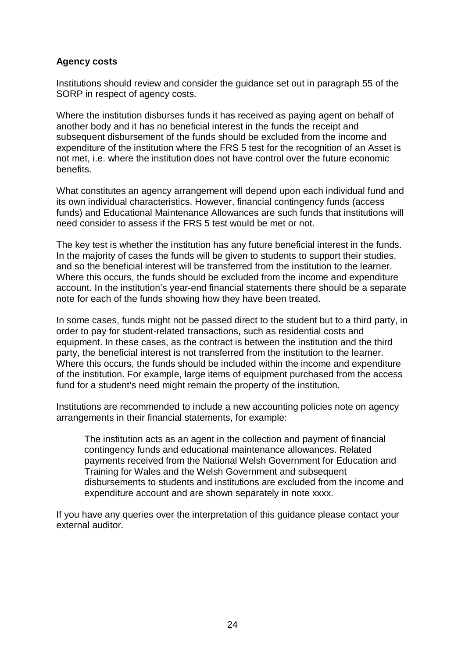#### **Agency costs**

Institutions should review and consider the guidance set out in paragraph 55 of the SORP in respect of agency costs.

Where the institution disburses funds it has received as paying agent on behalf of another body and it has no beneficial interest in the funds the receipt and subsequent disbursement of the funds should be excluded from the income and expenditure of the institution where the FRS 5 test for the recognition of an Asset is not met, i.e. where the institution does not have control over the future economic benefits.

What constitutes an agency arrangement will depend upon each individual fund and its own individual characteristics. However, financial contingency funds (access funds) and Educational Maintenance Allowances are such funds that institutions will need consider to assess if the FRS 5 test would be met or not.

The key test is whether the institution has any future beneficial interest in the funds. In the majority of cases the funds will be given to students to support their studies, and so the beneficial interest will be transferred from the institution to the learner. Where this occurs, the funds should be excluded from the income and expenditure account. In the institution's year-end financial statements there should be a separate note for each of the funds showing how they have been treated.

In some cases, funds might not be passed direct to the student but to a third party, in order to pay for student-related transactions, such as residential costs and equipment. In these cases, as the contract is between the institution and the third party, the beneficial interest is not transferred from the institution to the learner. Where this occurs, the funds should be included within the income and expenditure of the institution. For example, large items of equipment purchased from the access fund for a student's need might remain the property of the institution.

Institutions are recommended to include a new accounting policies note on agency arrangements in their financial statements, for example:

The institution acts as an agent in the collection and payment of financial contingency funds and educational maintenance allowances. Related payments received from the National Welsh Government for Education and Training for Wales and the Welsh Government and subsequent disbursements to students and institutions are excluded from the income and expenditure account and are shown separately in note xxxx.

If you have any queries over the interpretation of this guidance please contact your external auditor.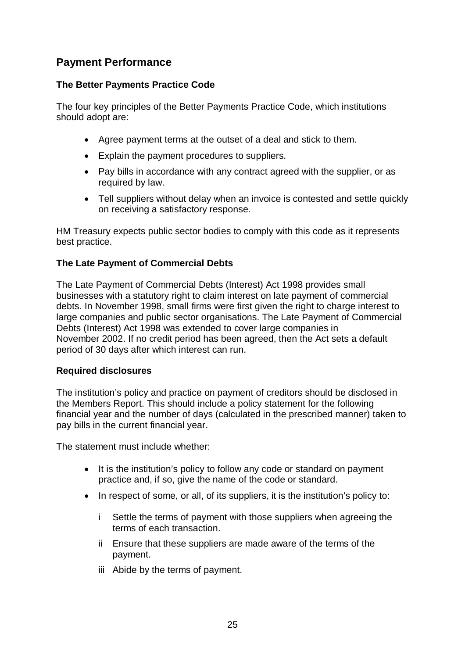#### **Payment Performance**

#### **The Better Payments Practice Code**

The four key principles of the Better Payments Practice Code, which institutions should adopt are:

- Agree payment terms at the outset of a deal and stick to them.
- Explain the payment procedures to suppliers.
- Pay bills in accordance with any contract agreed with the supplier, or as required by law.
- Tell suppliers without delay when an invoice is contested and settle quickly on receiving a satisfactory response.

HM Treasury expects public sector bodies to comply with this code as it represents best practice.

#### **The Late Payment of Commercial Debts**

The Late Payment of Commercial Debts (Interest) Act 1998 provides small businesses with a statutory right to claim interest on late payment of commercial debts. In November 1998, small firms were first given the right to charge interest to large companies and public sector organisations. The Late Payment of Commercial Debts (Interest) Act 1998 was extended to cover large companies in November 2002. If no credit period has been agreed, then the Act sets a default period of 30 days after which interest can run.

#### **Required disclosures**

The institution's policy and practice on payment of creditors should be disclosed in the Members Report. This should include a policy statement for the following financial year and the number of days (calculated in the prescribed manner) taken to pay bills in the current financial year.

The statement must include whether:

- It is the institution's policy to follow any code or standard on payment practice and, if so, give the name of the code or standard.
- In respect of some, or all, of its suppliers, it is the institution's policy to:
	- i Settle the terms of payment with those suppliers when agreeing the terms of each transaction.
	- ii Ensure that these suppliers are made aware of the terms of the payment.
	- iii Abide by the terms of payment.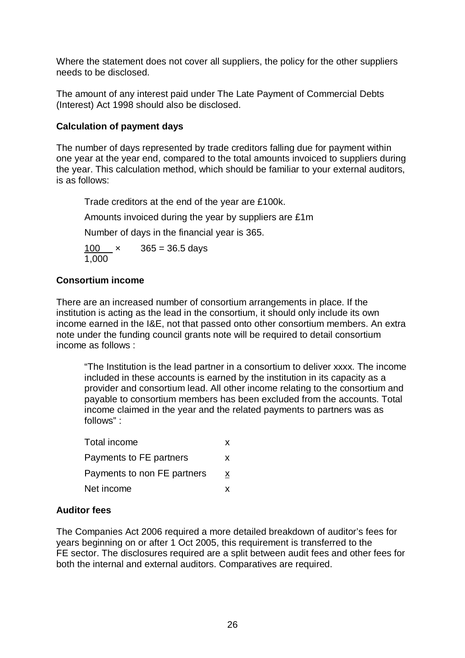Where the statement does not cover all suppliers, the policy for the other suppliers needs to be disclosed.

The amount of any interest paid under The Late Payment of Commercial Debts (Interest) Act 1998 should also be disclosed.

#### **Calculation of payment days**

The number of days represented by trade creditors falling due for payment within one year at the year end, compared to the total amounts invoiced to suppliers during the year. This calculation method, which should be familiar to your external auditors, is as follows:

Trade creditors at the end of the year are £100k.

Amounts invoiced during the year by suppliers are £1m

Number of days in the financial year is 365.

100  $\times$  365 = 36.5 days  $1,000$ 

#### **Consortium income**

There are an increased number of consortium arrangements in place. If the institution is acting as the lead in the consortium, it should only include its own income earned in the I&E, not that passed onto other consortium members. An extra note under the funding council grants note will be required to detail consortium income as follows :

"The Institution is the lead partner in a consortium to deliver xxxx. The income included in these accounts is earned by the institution in its capacity as a provider and consortium lead. All other income relating to the consortium and payable to consortium members has been excluded from the accounts. Total income claimed in the year and the related payments to partners was as follows" :

| Total income                | x |
|-----------------------------|---|
| Payments to FE partners     | x |
| Payments to non FE partners | X |
| Net income                  | x |

#### **Auditor fees**

The Companies Act 2006 required a more detailed breakdown of auditor's fees for years beginning on or after 1 Oct 2005, this requirement is transferred to the FE sector. The disclosures required are a split between audit fees and other fees for both the internal and external auditors. Comparatives are required.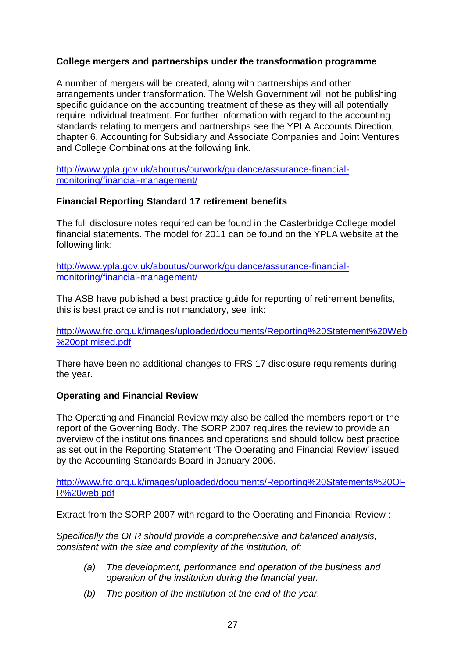#### **College mergers and partnerships under the transformation programme**

A number of mergers will be created, along with partnerships and other arrangements under transformation. The Welsh Government will not be publishing specific guidance on the accounting treatment of these as they will all potentially require individual treatment. For further information with regard to the accounting standards relating to mergers and partnerships see the YPLA Accounts Direction, chapter 6, Accounting for Subsidiary and Associate Companies and Joint Ventures and College Combinations at the following link.

[http://www.ypla.gov.uk/aboutus/ourwork/guidance/assurance-financial](http://www.ypla.gov.uk/aboutus/ourwork/guidance/assurance-financial-monitoring/financial-management/)[monitoring/financial-management/](http://www.ypla.gov.uk/aboutus/ourwork/guidance/assurance-financial-monitoring/financial-management/)

#### **Financial Reporting Standard 17 retirement benefits**

The full disclosure notes required can be found in the Casterbridge College model financial statements. The model for 2011 can be found on the YPLA website at the following link:

[http://www.ypla.gov.uk/aboutus/ourwork/guidance/assurance-financial](http://www.ypla.gov.uk/aboutus/ourwork/guidance/assurance-financial-monitoring/financial-management/)[monitoring/financial-management/](http://www.ypla.gov.uk/aboutus/ourwork/guidance/assurance-financial-monitoring/financial-management/)

The ASB have published a best practice guide for reporting of retirement benefits, this is best practice and is not mandatory, see link:

[http://www.frc.org.uk/images/uploaded/documents/Reporting%20Statement%20Web](http://www.frc.org.uk/images/uploaded/documents/Reporting%20Statement%20Web%20optimised.pdf) [%20optimised.pdf](http://www.frc.org.uk/images/uploaded/documents/Reporting%20Statement%20Web%20optimised.pdf)

There have been no additional changes to FRS 17 disclosure requirements during the year.

#### **Operating and Financial Review**

The Operating and Financial Review may also be called the members report or the report of the Governing Body. The SORP 2007 requires the review to provide an overview of the institutions finances and operations and should follow best practice as set out in the Reporting Statement 'The Operating and Financial Review' issued by the Accounting Standards Board in January 2006.

[http://www.frc.org.uk/images/uploaded/documents/Reporting%20Statements%20OF](http://www.frc.org.uk/images/uploaded/documents/Reporting%20Statements%20OFR%20web.pdf) [R%20web.pdf](http://www.frc.org.uk/images/uploaded/documents/Reporting%20Statements%20OFR%20web.pdf)

Extract from the SORP 2007 with regard to the Operating and Financial Review :

*Specifically the OFR should provide a comprehensive and balanced analysis, consistent with the size and complexity of the institution, of:* 

- *(a) The development, performance and operation of the business and operation of the institution during the financial year.*
- *(b) The position of the institution at the end of the year.*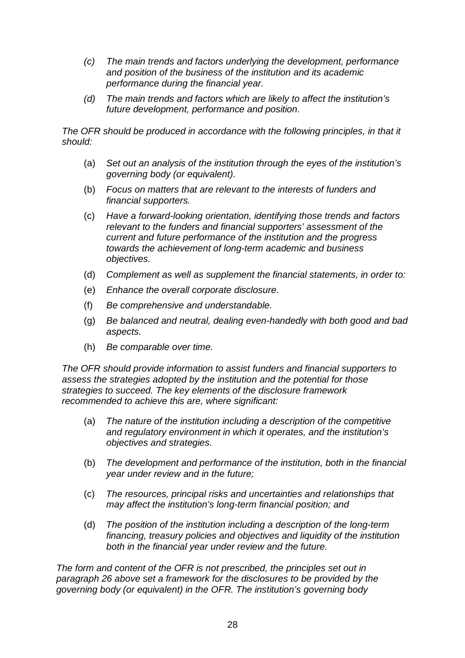- *(c) The main trends and factors underlying the development, performance and position of the business of the institution and its academic performance during the financial year.*
- *(d) The main trends and factors which are likely to affect the institution's future development, performance and position.*

The OFR should be produced in accordance with the following principles, in that it *should:* 

- (a) *Set out an analysis of the institution through the eyes of the institution's governing body (or equivalent).*
- (b) *Focus on matters that are relevant to the interests of funders and financial supporters.*
- (c) *Have a forward-looking orientation, identifying those trends and factors relevant to the funders and financial supporters' assessment of the current and future performance of the institution and the progress towards the achievement of long-term academic and business objectives.*
- (d) *Complement as well as supplement the financial statements, in order to:*
- (e) *Enhance the overall corporate disclosure.*
- (f) *Be comprehensive and understandable.*
- (g) *Be balanced and neutral, dealing even-handedly with both good and bad aspects.*
- (h) *Be comparable over time.*

*The OFR should provide information to assist funders and financial supporters to assess the strategies adopted by the institution and the potential for those strategies to succeed. The key elements of the disclosure framework recommended to achieve this are, where significant:* 

- (a) *The nature of the institution including a description of the competitive and regulatory environment in which it operates, and the institution's objectives and strategies.*
- (b) *The development and performance of the institution, both in the financial year under review and in the future;*
- (c) *The resources, principal risks and uncertainties and relationships that may affect the institution's long-term financial position; and*
- (d) *The position of the institution including a description of the long-term financing, treasury policies and objectives and liquidity of the institution both in the financial year under review and the future.*

*The form and content of the OFR is not prescribed, the principles set out in paragraph 26 above set a framework for the disclosures to be provided by the governing body (or equivalent) in the OFR. The institution's governing body*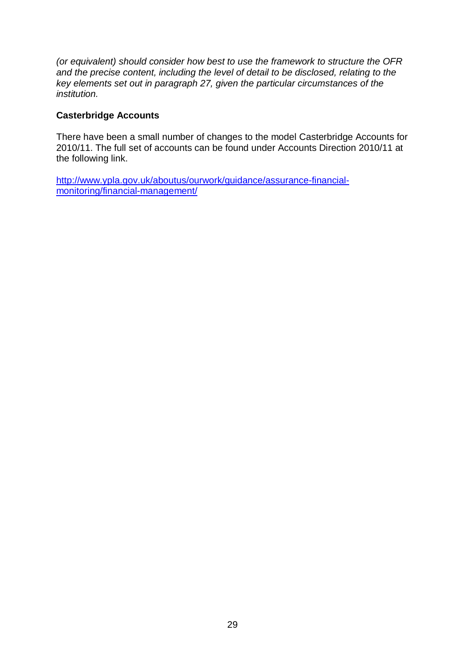*(or equivalent) should consider how best to use the framework to structure the OFR and the precise content, including the level of detail to be disclosed, relating to the key elements set out in paragraph 27, given the particular circumstances of the institution.* 

#### **Casterbridge Accounts**

There have been a small number of changes to the model Casterbridge Accounts for 2010/11. The full set of accounts can be found under Accounts Direction 2010/11 at the following link.

[http://www.ypla.gov.uk/aboutus/ourwork/guidance/assurance-financial](http://www.ypla.gov.uk/aboutus/ourwork/guidance/assurance-financial-monitoring/financial-management/)[monitoring/financial-management/](http://www.ypla.gov.uk/aboutus/ourwork/guidance/assurance-financial-monitoring/financial-management/)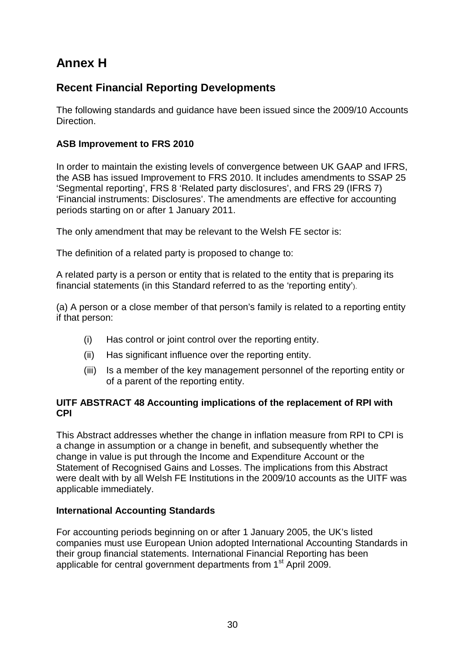# **Annex H**

#### **Recent Financial Reporting Developments**

The following standards and guidance have been issued since the 2009/10 Accounts Direction.

#### **ASB Improvement to FRS 2010**

In order to maintain the existing levels of convergence between UK GAAP and IFRS, the ASB has issued Improvement to FRS 2010. It includes amendments to SSAP 25 'Segmental reporting', FRS 8 'Related party disclosures', and FRS 29 (IFRS 7) 'Financial instruments: Disclosures'. The amendments are effective for accounting periods starting on or after 1 January 2011.

The only amendment that may be relevant to the Welsh FE sector is:

The definition of a related party is proposed to change to:

A related party is a person or entity that is related to the entity that is preparing its financial statements (in this Standard referred to as the 'reporting entity').

(a) A person or a close member of that person's family is related to a reporting entity if that person:

- (i) Has control or joint control over the reporting entity.
- (ii) Has significant influence over the reporting entity.
- (iii) Is a member of the key management personnel of the reporting entity or of a parent of the reporting entity.

#### **UITF ABSTRACT 48 Accounting implications of the replacement of RPI with CPI**

This Abstract addresses whether the change in inflation measure from RPI to CPI is a change in assumption or a change in benefit, and subsequently whether the change in value is put through the Income and Expenditure Account or the Statement of Recognised Gains and Losses. The implications from this Abstract were dealt with by all Welsh FE Institutions in the 2009/10 accounts as the UITF was applicable immediately.

#### **International Accounting Standards**

For accounting periods beginning on or after 1 January 2005, the UK's listed companies must use European Union adopted International Accounting Standards in their group financial statements. International Financial Reporting has been applicable for central government departments from 1<sup>st</sup> April 2009.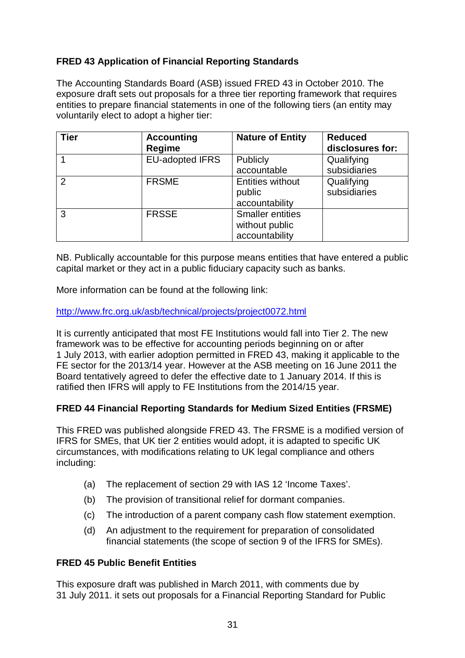#### **FRED 43 Application of Financial Reporting Standards**

The Accounting Standards Board (ASB) issued FRED 43 in October 2010. The exposure draft sets out proposals for a three tier reporting framework that requires entities to prepare financial statements in one of the following tiers (an entity may voluntarily elect to adopt a higher tier:

| <b>Tier</b>    | <b>Accounting</b><br><b>Regime</b> | <b>Nature of Entity</b>                                     | <b>Reduced</b><br>disclosures for: |
|----------------|------------------------------------|-------------------------------------------------------------|------------------------------------|
|                | <b>EU-adopted IFRS</b>             | Publicly<br>accountable                                     | Qualifying<br>subsidiaries         |
| $\overline{2}$ | <b>FRSME</b>                       | <b>Entities without</b><br>public<br>accountability         | Qualifying<br>subsidiaries         |
| 3              | <b>FRSSE</b>                       | <b>Smaller entities</b><br>without public<br>accountability |                                    |

NB. Publically accountable for this purpose means entities that have entered a public capital market or they act in a public fiduciary capacity such as banks.

More information can be found at the following link:

<http://www.frc.org.uk/asb/technical/projects/project0072.html>

It is currently anticipated that most FE Institutions would fall into Tier 2. The new framework was to be effective for accounting periods beginning on or after 1 July 2013, with earlier adoption permitted in FRED 43, making it applicable to the FE sector for the 2013/14 year. However at the ASB meeting on 16 June 2011 the Board tentatively agreed to defer the effective date to 1 January 2014. If this is ratified then IFRS will apply to FE Institutions from the 2014/15 year.

#### **FRED 44 Financial Reporting Standards for Medium Sized Entities (FRSME)**

This FRED was published alongside FRED 43. The FRSME is a modified version of IFRS for SMEs, that UK tier 2 entities would adopt, it is adapted to specific UK circumstances, with modifications relating to UK legal compliance and others including:

- (a) The replacement of section 29 with IAS 12 'Income Taxes'.
- (b) The provision of transitional relief for dormant companies.
- (c) The introduction of a parent company cash flow statement exemption.
- (d) An adjustment to the requirement for preparation of consolidated financial statements (the scope of section 9 of the IFRS for SMEs).

#### **FRED 45 Public Benefit Entities**

This exposure draft was published in March 2011, with comments due by 31 July 2011. it sets out proposals for a Financial Reporting Standard for Public